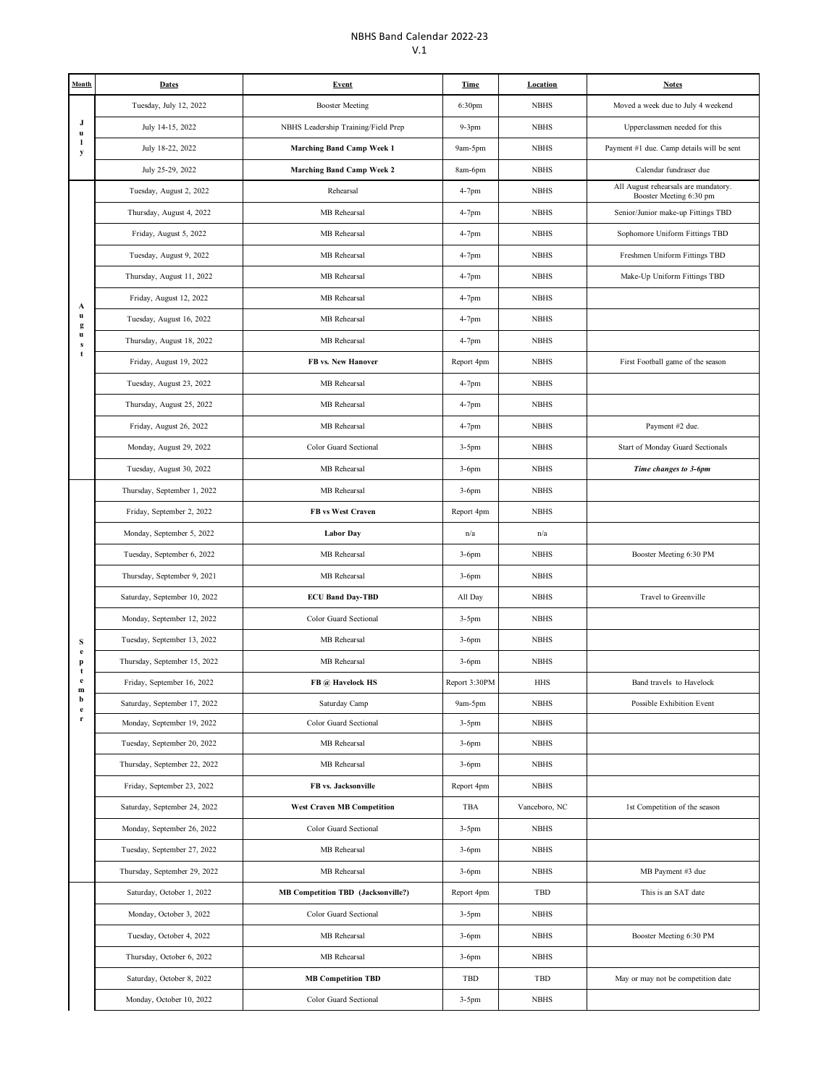## NBHS Band Calendar 2022-23 V.1

| Month                       | <b>Dates</b>                 | <b>Event</b>                              | <b>Time</b>   | <b>Location</b> | <b>Notes</b>                                                    |
|-----------------------------|------------------------------|-------------------------------------------|---------------|-----------------|-----------------------------------------------------------------|
| J<br>$\mathbf{u}$<br>л<br>y | Tuesday, July 12, 2022       | <b>Booster Meeting</b>                    | 6:30pm        | <b>NBHS</b>     | Moved a week due to July 4 weekend                              |
|                             | July 14-15, 2022             | NBHS Leadership Training/Field Prep       | $9-3$ pm      | <b>NBHS</b>     | Upperclassmen needed for this                                   |
|                             | July 18-22, 2022             | Marching Band Camp Week 1                 | 9am-5pm       | <b>NBHS</b>     | Payment #1 due. Camp details will be sent                       |
|                             | July 25-29, 2022             | <b>Marching Band Camp Week 2</b>          | 8am-6pm       | <b>NBHS</b>     | Calendar fundraser due                                          |
|                             | Tuesday, August 2, 2022      | Rehearsal                                 | 4-7pm         | <b>NBHS</b>     | All August rehearsals are mandatory.<br>Booster Meeting 6:30 pm |
|                             | Thursday, August 4, 2022     | MB Rehearsal                              | 4-7pm         | <b>NBHS</b>     | Senior/Junior make-up Fittings TBD                              |
|                             | Friday, August 5, 2022       | MB Rehearsal                              | 4-7pm         | <b>NBHS</b>     | Sophomore Uniform Fittings TBD                                  |
|                             | Tuesday, August 9, 2022      | MB Rehearsal                              | 4-7pm         | <b>NBHS</b>     | Freshmen Uniform Fittings TBD                                   |
|                             | Thursday, August 11, 2022    | MB Rehearsal                              | 4-7pm         | <b>NBHS</b>     | Make-Up Uniform Fittings TBD                                    |
| A                           | Friday, August 12, 2022      | MB Rehearsal                              | 4-7pm         | <b>NBHS</b>     |                                                                 |
| u<br>g                      | Tuesday, August 16, 2022     | MB Rehearsal                              | 4-7pm         | <b>NBHS</b>     |                                                                 |
| u<br>S                      | Thursday, August 18, 2022    | MB Rehearsal                              | 4-7pm         | <b>NBHS</b>     |                                                                 |
| $\mathbf t$                 | Friday, August 19, 2022      | FB vs. New Hanover                        | Report 4pm    | <b>NBHS</b>     | First Football game of the season                               |
|                             | Tuesday, August 23, 2022     | MB Rehearsal                              | 4-7pm         | <b>NBHS</b>     |                                                                 |
|                             | Thursday, August 25, 2022    | MB Rehearsal                              | 4-7pm         | <b>NBHS</b>     |                                                                 |
|                             | Friday, August 26, 2022      | MB Rehearsal                              | 4-7pm         | <b>NBHS</b>     | Payment #2 due.                                                 |
|                             | Monday, August 29, 2022      | Color Guard Sectional                     | $3-5$ pm      | <b>NBHS</b>     | Start of Monday Guard Sectionals                                |
|                             | Tuesday, August 30, 2022     | MB Rehearsal                              | $3-6$ pm      | <b>NBHS</b>     | Time changes to 3-6pm                                           |
|                             | Thursday, September 1, 2022  | MB Rehearsal                              | $3-6$ pm      | <b>NBHS</b>     |                                                                 |
|                             | Friday, September 2, 2022    | FB vs West Craven                         | Report 4pm    | <b>NBHS</b>     |                                                                 |
|                             | Monday, September 5, 2022    | <b>Labor Day</b>                          | n/a           | n/a             |                                                                 |
|                             | Tuesday, September 6, 2022   | MB Rehearsal                              | $3-6$ pm      | <b>NBHS</b>     | Booster Meeting 6:30 PM                                         |
|                             | Thursday, September 9, 2021  | MB Rehearsal                              | $3-6$ pm      | <b>NBHS</b>     |                                                                 |
|                             | Saturday, September 10, 2022 | <b>ECU Band Day-TBD</b>                   | All Day       | <b>NBHS</b>     | Travel to Greenville                                            |
|                             | Monday, September 12, 2022   | Color Guard Sectional                     | $3-5$ pm      | <b>NBHS</b>     |                                                                 |
| S                           | Tuesday, September 13, 2022  | MB Rehearsal                              | $3-6$ pm      | <b>NBHS</b>     |                                                                 |
| e<br>p<br>t                 | Thursday, September 15, 2022 | MB Rehearsal                              | $3-6$ pm      | <b>NBHS</b>     |                                                                 |
| $\mathbf e$<br>m            | Friday, September 16, 2022   | FB @ Havelock HS                          | Report 3:30PM | <b>HHS</b>      | Band travels to Havelock                                        |
| b<br>e                      | Saturday, September 17, 2022 | Saturday Camp                             | 9am-5pm       | <b>NBHS</b>     | Possible Exhibition Event                                       |
| r                           | Monday, September 19, 2022   | Color Guard Sectional                     | $3-5$ pm      | <b>NBHS</b>     |                                                                 |
|                             | Tuesday, September 20, 2022  | MB Rehearsal                              | $3-6$ pm      | <b>NBHS</b>     |                                                                 |
|                             | Thursday, September 22, 2022 | MB Rehearsal                              | $3-6$ pm      | <b>NBHS</b>     |                                                                 |
|                             | Friday, September 23, 2022   | FB vs. Jacksonville                       | Report 4pm    | <b>NBHS</b>     |                                                                 |
|                             | Saturday, September 24, 2022 | <b>West Craven MB Competition</b>         | TBA           | Vanceboro, NC   | 1st Competition of the season                                   |
|                             | Monday, September 26, 2022   | Color Guard Sectional                     | 3-5pm         | <b>NBHS</b>     |                                                                 |
|                             | Tuesday, September 27, 2022  | MB Rehearsal                              | $3-6$ pm      | <b>NBHS</b>     |                                                                 |
|                             | Thursday, September 29, 2022 | MB Rehearsal                              | 3-6pm         | <b>NBHS</b>     | MB Payment #3 due                                               |
|                             | Saturday, October 1, 2022    | <b>MB Competition TBD</b> (Jacksonville?) | Report 4pm    | <b>TBD</b>      | This is an SAT date                                             |
|                             | Monday, October 3, 2022      | Color Guard Sectional                     | $3-5$ pm      | <b>NBHS</b>     |                                                                 |
|                             | Tuesday, October 4, 2022     | MB Rehearsal                              | 3-6pm         | <b>NBHS</b>     | Booster Meeting 6:30 PM                                         |
|                             | Thursday, October 6, 2022    | MB Rehearsal                              | $3-6$ pm      | <b>NBHS</b>     |                                                                 |
|                             | Saturday, October 8, 2022    | <b>MB Competition TBD</b>                 | TBD           | TBD             | May or may not be competition date                              |
|                             | Monday, October 10, 2022     | Color Guard Sectional                     | $3-5$ pm      | <b>NBHS</b>     |                                                                 |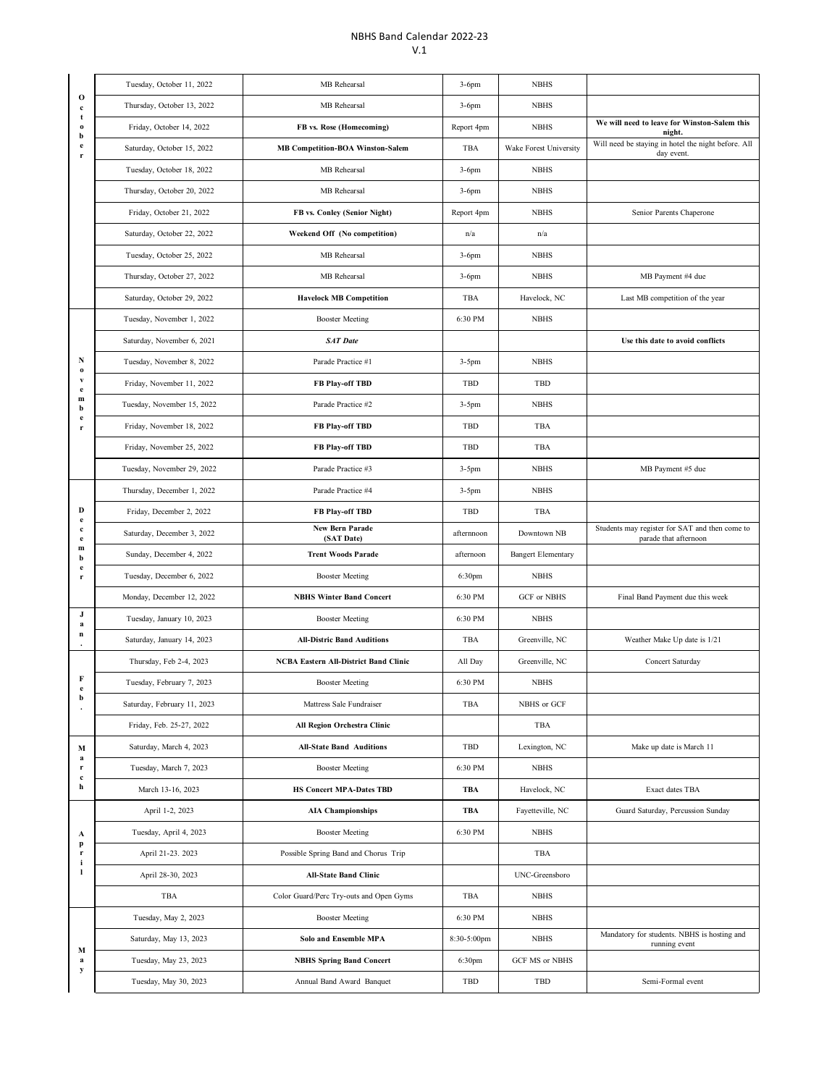## NBHS Band Calendar 2022-23 V.1

|                                                            | Tuesday, October 11, 2022   | MB Rehearsal                                 | $3-6$ pm    | <b>NBHS</b>               |                                                                         |
|------------------------------------------------------------|-----------------------------|----------------------------------------------|-------------|---------------------------|-------------------------------------------------------------------------|
| $\mathbf 0$<br>$\mathbf c$<br>t<br>$\bf{0}$<br>b<br>e<br>r | Thursday, October 13, 2022  | MB Rehearsal                                 | $3-6$ pm    | <b>NBHS</b>               |                                                                         |
|                                                            | Friday, October 14, 2022    | FB vs. Rose (Homecoming)                     | Report 4pm  | <b>NBHS</b>               | We will need to leave for Winston-Salem this<br>night.                  |
|                                                            | Saturday, October 15, 2022  | <b>MB Competition-BOA Winston-Salem</b>      | TBA         | Wake Forest University    | Will need be staying in hotel the night before. All<br>day event.       |
|                                                            | Tuesday, October 18, 2022   | MB Rehearsal                                 | $3-6$ pm    | <b>NBHS</b>               |                                                                         |
|                                                            | Thursday, October 20, 2022  | MB Rehearsal                                 | $3-6$ pm    | <b>NBHS</b>               |                                                                         |
|                                                            | Friday, October 21, 2022    | FB vs. Conley (Senior Night)                 | Report 4pm  | <b>NBHS</b>               | Senior Parents Chaperone                                                |
|                                                            | Saturday, October 22, 2022  | Weekend Off (No competition)                 | n/a         | n/a                       |                                                                         |
|                                                            | Tuesday, October 25, 2022   | MB Rehearsal                                 | 3-6pm       | <b>NBHS</b>               |                                                                         |
|                                                            | Thursday, October 27, 2022  | MB Rehearsal                                 | $3-6$ pm    | <b>NBHS</b>               | MB Payment #4 due                                                       |
|                                                            | Saturday, October 29, 2022  | <b>Havelock MB Competition</b>               | TBA         | Havelock, NC              | Last MB competition of the year                                         |
|                                                            | Tuesday, November 1, 2022   | <b>Booster Meeting</b>                       | 6:30 PM     | <b>NBHS</b>               |                                                                         |
|                                                            | Saturday, November 6, 2021  | <b>SAT Date</b>                              |             |                           | Use this date to avoid conflicts                                        |
| N<br>$\bf{o}$                                              | Tuesday, November 8, 2022   | Parade Practice #1                           | $3-5$ pm    | <b>NBHS</b>               |                                                                         |
| v<br>e                                                     | Friday, November 11, 2022   | <b>FB Play-off TBD</b>                       | <b>TBD</b>  | TBD                       |                                                                         |
| $\mathbf{m}$<br>b                                          | Tuesday, November 15, 2022  | Parade Practice #2                           | $3-5$ pm    | <b>NBHS</b>               |                                                                         |
| e<br>r                                                     | Friday, November 18, 2022   | FB Play-off TBD                              | <b>TBD</b>  | <b>TBA</b>                |                                                                         |
|                                                            | Friday, November 25, 2022   | <b>FB Play-off TBD</b>                       | <b>TBD</b>  | TBA                       |                                                                         |
|                                                            | Tuesday, November 29, 2022  | Parade Practice #3                           | $3-5$ pm    | <b>NBHS</b>               | MB Payment #5 due                                                       |
|                                                            | Thursday, December 1, 2022  | Parade Practice #4                           | $3-5$ pm    | <b>NBHS</b>               |                                                                         |
| D<br>e                                                     | Friday, December 2, 2022    | FB Play-off TBD                              | TBD         | TBA                       |                                                                         |
| c<br>$\mathbf e$                                           | Saturday, December 3, 2022  | New Bern Parade<br>(SAT Date)                | afternnoon  | Downtown NB               | Students may register for SAT and then come to<br>parade that afternoon |
| m<br>b                                                     | Sunday, December 4, 2022    | <b>Trent Woods Parade</b>                    | afternoon   | <b>Bangert Elementary</b> |                                                                         |
| $\mathbf e$<br>r                                           | Tuesday, December 6, 2022   | <b>Booster Meeting</b>                       | 6:30pm      | <b>NBHS</b>               |                                                                         |
|                                                            | Monday, December 12, 2022   | <b>NBHS Winter Band Concert</b>              | 6:30 PM     | GCF or NBHS               | Final Band Payment due this week                                        |
| J<br>a                                                     | Tuesday, January 10, 2023   | <b>Booster Meeting</b>                       | 6:30 PM     | <b>NBHS</b>               |                                                                         |
| $\bf n$                                                    | Saturday, January 14, 2023  | <b>All-Distric Band Auditions</b>            | TBA         | Greenville, NC            | Weather Make Up date is 1/21                                            |
|                                                            | Thursday, Feb 2-4, 2023     | <b>NCBA Eastern All-District Band Clinic</b> | All Day     | Greenville, NC            | Concert Saturday                                                        |
| F                                                          | Tuesday, February 7, 2023   | <b>Booster Meeting</b>                       | 6:30 PM     | <b>NBHS</b>               |                                                                         |
| b                                                          | Saturday, February 11, 2023 | Mattress Sale Fundraiser                     | TBA         | NBHS or GCF               |                                                                         |
|                                                            | Friday, Feb. 25-27, 2022    | All Region Orchestra Clinic                  |             | TBA                       |                                                                         |
| М<br>a                                                     | Saturday, March 4, 2023     | <b>All-State Band Auditions</b>              | TBD         | Lexington, NC             | Make up date is March 11                                                |
| r<br>$\mathbf c$                                           | Tuesday, March 7, 2023      | <b>Booster Meeting</b>                       | 6:30 PM     | <b>NBHS</b>               |                                                                         |
| h                                                          | March 13-16, 2023           | <b>HS Concert MPA-Dates TBD</b>              | <b>TBA</b>  | Havelock, NC              | Exact dates TBA                                                         |
|                                                            | April 1-2, 2023             | <b>AIA Championships</b>                     | <b>TBA</b>  | Fayetteville, NC          | Guard Saturday, Percussion Sunday                                       |
| A<br>p                                                     | Tuesday, April 4, 2023      | <b>Booster Meeting</b>                       | 6:30 PM     | <b>NBHS</b>               |                                                                         |
| r<br>i                                                     | April 21-23. 2023           | Possible Spring Band and Chorus Trip         |             | TBA                       |                                                                         |
| п                                                          | April 28-30, 2023           | <b>All-State Band Clinic</b>                 |             | UNC-Greensboro            |                                                                         |
|                                                            | TBA                         | Color Guard/Perc Try-outs and Open Gyms      | TBA         | <b>NBHS</b>               |                                                                         |
| М                                                          | Tuesday, May 2, 2023        | <b>Booster Meeting</b>                       | 6:30 PM     | <b>NBHS</b>               |                                                                         |
|                                                            | Saturday, May 13, 2023      | Solo and Ensemble MPA                        | 8:30-5:00pm | <b>NBHS</b>               | Mandatory for students. NBHS is hosting and<br>running event            |
| a<br>y                                                     | Tuesday, May 23, 2023       | <b>NBHS Spring Band Concert</b>              | 6:30pm      | GCF MS or NBHS            |                                                                         |
|                                                            | Tuesday, May 30, 2023       | Annual Band Award Banquet                    | TBD         | TBD                       | Semi-Formal event                                                       |